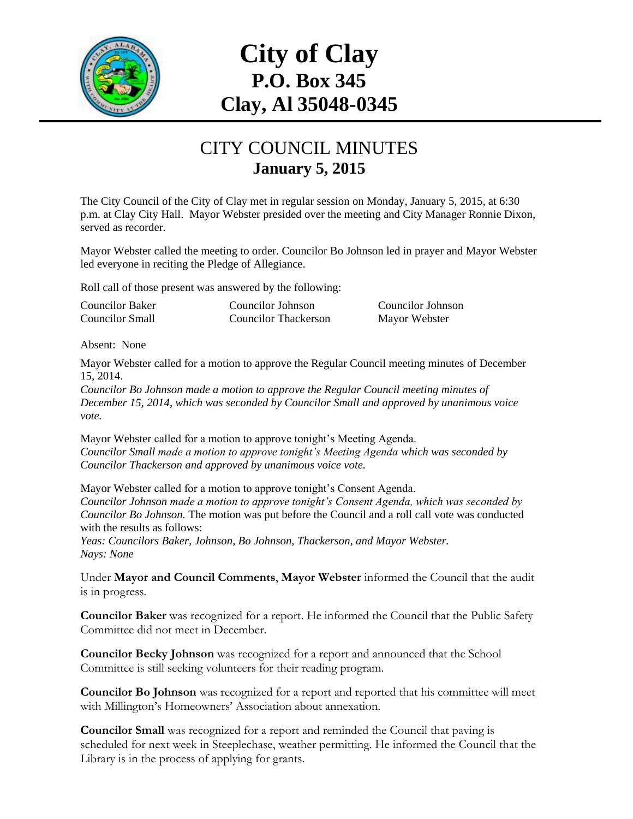

# **City of Clay P.O. Box 345 Clay, Al 35048-0345**

#### CITY COUNCIL MINUTES **January 5, 2015**

The City Council of the City of Clay met in regular session on Monday, January 5, 2015, at 6:30 p.m. at Clay City Hall. Mayor Webster presided over the meeting and City Manager Ronnie Dixon, served as recorder.

Mayor Webster called the meeting to order. Councilor Bo Johnson led in prayer and Mayor Webster led everyone in reciting the Pledge of Allegiance.

Roll call of those present was answered by the following:

Councilor Baker Councilor Johnson Councilor Johnson Councilor Small Councilor Thackerson Mayor Webster

Absent: None

Mayor Webster called for a motion to approve the Regular Council meeting minutes of December 15, 2014.

*Councilor Bo Johnson made a motion to approve the Regular Council meeting minutes of December 15, 2014, which was seconded by Councilor Small and approved by unanimous voice vote.*

Mayor Webster called for a motion to approve tonight's Meeting Agenda. *Councilor Small made a motion to approve tonight's Meeting Agenda which was seconded by Councilor Thackerson and approved by unanimous voice vote.*

Mayor Webster called for a motion to approve tonight's Consent Agenda. *Councilor Johnson made a motion to approve tonight's Consent Agenda, which was seconded by Councilor Bo Johnson.* The motion was put before the Council and a roll call vote was conducted with the results as follows:

*Yeas: Councilors Baker, Johnson, Bo Johnson, Thackerson, and Mayor Webster. Nays: None*

Under **Mayor and Council Comments**, **Mayor Webster** informed the Council that the audit is in progress.

**Councilor Baker** was recognized for a report. He informed the Council that the Public Safety Committee did not meet in December.

**Councilor Becky Johnson** was recognized for a report and announced that the School Committee is still seeking volunteers for their reading program.

**Councilor Bo Johnson** was recognized for a report and reported that his committee will meet with Millington's Homeowners' Association about annexation.

**Councilor Small** was recognized for a report and reminded the Council that paving is scheduled for next week in Steeplechase, weather permitting. He informed the Council that the Library is in the process of applying for grants.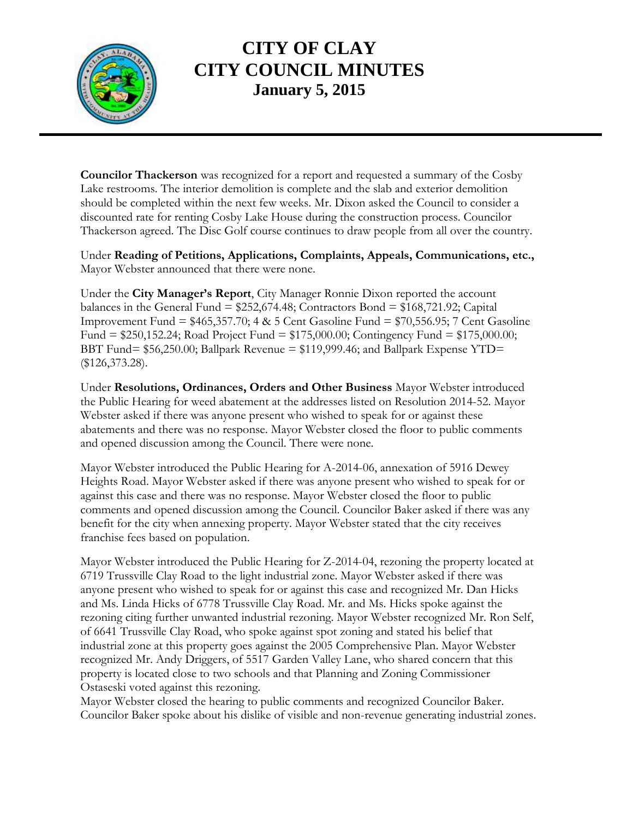

**Councilor Thackerson** was recognized for a report and requested a summary of the Cosby Lake restrooms. The interior demolition is complete and the slab and exterior demolition should be completed within the next few weeks. Mr. Dixon asked the Council to consider a discounted rate for renting Cosby Lake House during the construction process. Councilor Thackerson agreed. The Disc Golf course continues to draw people from all over the country.

Under **Reading of Petitions, Applications, Complaints, Appeals, Communications, etc.,** Mayor Webster announced that there were none.

Under the **City Manager's Report**, City Manager Ronnie Dixon reported the account balances in the General Fund =  $$252,674.48$ ; Contractors Bond =  $$168,721.92$ ; Capital Improvement Fund = \$465,357.70; 4 & 5 Cent Gasoline Fund = \$70,556.95; 7 Cent Gasoline Fund = \$250,152.24; Road Project Fund = \$175,000.00; Contingency Fund = \$175,000.00; BBT Fund= \$56,250.00; Ballpark Revenue = \$119,999.46; and Ballpark Expense YTD= (\$126,373.28).

Under **Resolutions, Ordinances, Orders and Other Business** Mayor Webster introduced the Public Hearing for weed abatement at the addresses listed on Resolution 2014-52. Mayor Webster asked if there was anyone present who wished to speak for or against these abatements and there was no response. Mayor Webster closed the floor to public comments and opened discussion among the Council. There were none.

Mayor Webster introduced the Public Hearing for A-2014-06, annexation of 5916 Dewey Heights Road. Mayor Webster asked if there was anyone present who wished to speak for or against this case and there was no response. Mayor Webster closed the floor to public comments and opened discussion among the Council. Councilor Baker asked if there was any benefit for the city when annexing property. Mayor Webster stated that the city receives franchise fees based on population.

Mayor Webster introduced the Public Hearing for Z-2014-04, rezoning the property located at 6719 Trussville Clay Road to the light industrial zone. Mayor Webster asked if there was anyone present who wished to speak for or against this case and recognized Mr. Dan Hicks and Ms. Linda Hicks of 6778 Trussville Clay Road. Mr. and Ms. Hicks spoke against the rezoning citing further unwanted industrial rezoning. Mayor Webster recognized Mr. Ron Self, of 6641 Trussville Clay Road, who spoke against spot zoning and stated his belief that industrial zone at this property goes against the 2005 Comprehensive Plan. Mayor Webster recognized Mr. Andy Driggers, of 5517 Garden Valley Lane, who shared concern that this property is located close to two schools and that Planning and Zoning Commissioner Ostaseski voted against this rezoning.

Mayor Webster closed the hearing to public comments and recognized Councilor Baker. Councilor Baker spoke about his dislike of visible and non-revenue generating industrial zones.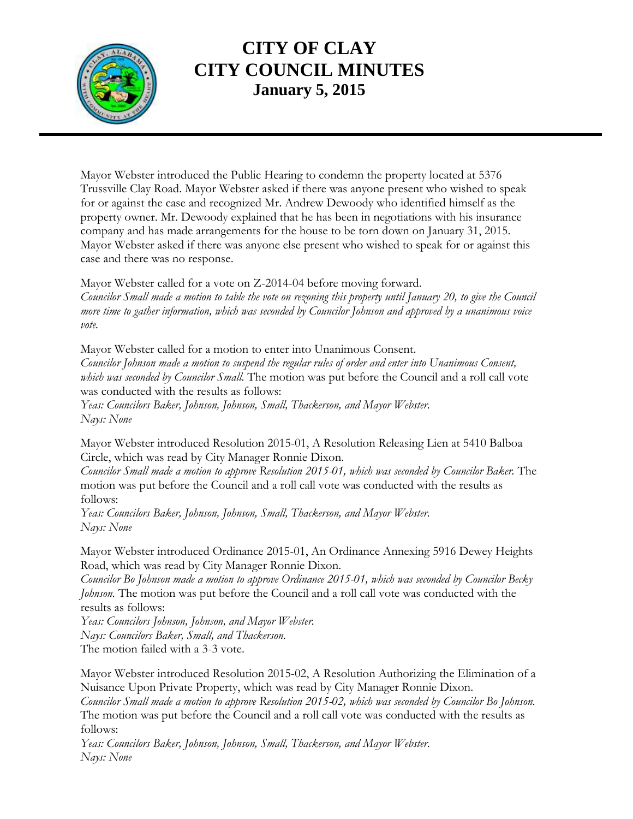

Mayor Webster introduced the Public Hearing to condemn the property located at 5376 Trussville Clay Road. Mayor Webster asked if there was anyone present who wished to speak for or against the case and recognized Mr. Andrew Dewoody who identified himself as the property owner. Mr. Dewoody explained that he has been in negotiations with his insurance company and has made arrangements for the house to be torn down on January 31, 2015. Mayor Webster asked if there was anyone else present who wished to speak for or against this case and there was no response.

Mayor Webster called for a vote on Z-2014-04 before moving forward. *Councilor Small made a motion to table the vote on rezoning this property until January 20, to give the Council more time to gather information, which was seconded by Councilor Johnson and approved by a unanimous voice vote.*

Mayor Webster called for a motion to enter into Unanimous Consent. *Councilor Johnson made a motion to suspend the regular rules of order and enter into Unanimous Consent, which was seconded by Councilor Small.* The motion was put before the Council and a roll call vote was conducted with the results as follows: *Yeas: Councilors Baker, Johnson, Johnson, Small, Thackerson, and Mayor Webster.*

*Nays: None*

Mayor Webster introduced Resolution 2015-01, A Resolution Releasing Lien at 5410 Balboa Circle, which was read by City Manager Ronnie Dixon.

*Councilor Small made a motion to approve Resolution 2015-01, which was seconded by Councilor Baker.* The motion was put before the Council and a roll call vote was conducted with the results as follows:

*Yeas: Councilors Baker, Johnson, Johnson, Small, Thackerson, and Mayor Webster. Nays: None*

Mayor Webster introduced Ordinance 2015-01, An Ordinance Annexing 5916 Dewey Heights Road, which was read by City Manager Ronnie Dixon.

*Councilor Bo Johnson made a motion to approve Ordinance 2015-01, which was seconded by Councilor Becky Johnson.* The motion was put before the Council and a roll call vote was conducted with the results as follows:

*Yeas: Councilors Johnson, Johnson, and Mayor Webster. Nays: Councilors Baker, Small, and Thackerson.* The motion failed with a 3-3 vote.

Mayor Webster introduced Resolution 2015-02, A Resolution Authorizing the Elimination of a Nuisance Upon Private Property, which was read by City Manager Ronnie Dixon.

*Councilor Small made a motion to approve Resolution 2015-02, which was seconded by Councilor Bo Johnson.*  The motion was put before the Council and a roll call vote was conducted with the results as follows:

*Yeas: Councilors Baker, Johnson, Johnson, Small, Thackerson, and Mayor Webster. Nays: None*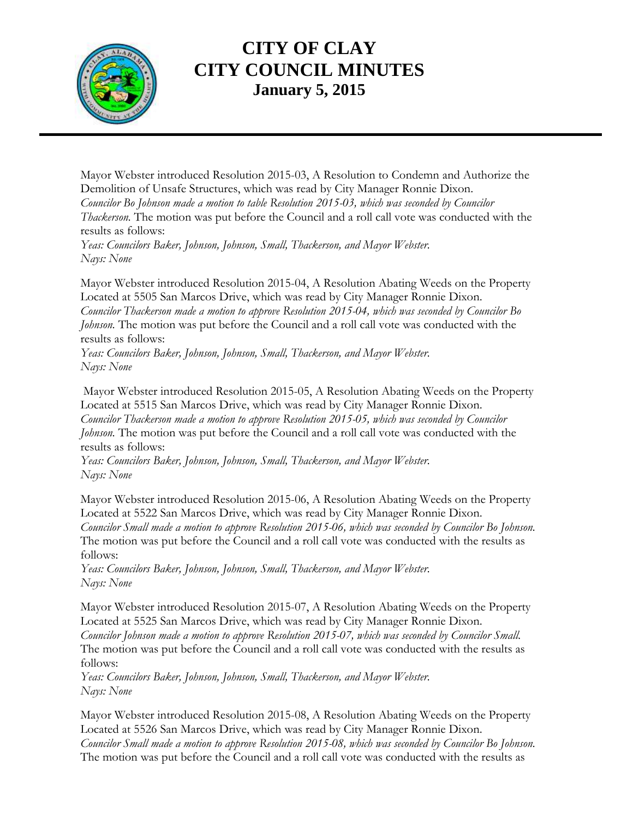

Mayor Webster introduced Resolution 2015-03, A Resolution to Condemn and Authorize the Demolition of Unsafe Structures, which was read by City Manager Ronnie Dixon. *Councilor Bo Johnson made a motion to table Resolution 2015-03, which was seconded by Councilor*

*Thackerson.* The motion was put before the Council and a roll call vote was conducted with the results as follows:

*Yeas: Councilors Baker, Johnson, Johnson, Small, Thackerson, and Mayor Webster. Nays: None*

Mayor Webster introduced Resolution 2015-04, A Resolution Abating Weeds on the Property Located at 5505 San Marcos Drive, which was read by City Manager Ronnie Dixon. *Councilor Thackerson made a motion to approve Resolution 2015-04, which was seconded by Councilor Bo Johnson.* The motion was put before the Council and a roll call vote was conducted with the results as follows:

*Yeas: Councilors Baker, Johnson, Johnson, Small, Thackerson, and Mayor Webster. Nays: None*

Mayor Webster introduced Resolution 2015-05, A Resolution Abating Weeds on the Property Located at 5515 San Marcos Drive, which was read by City Manager Ronnie Dixon. *Councilor Thackerson made a motion to approve Resolution 2015-05, which was seconded by Councilor Johnson.* The motion was put before the Council and a roll call vote was conducted with the results as follows:

*Yeas: Councilors Baker, Johnson, Johnson, Small, Thackerson, and Mayor Webster. Nays: None*

Mayor Webster introduced Resolution 2015-06, A Resolution Abating Weeds on the Property Located at 5522 San Marcos Drive, which was read by City Manager Ronnie Dixon. *Councilor Small made a motion to approve Resolution 2015-06, which was seconded by Councilor Bo Johnson.*  The motion was put before the Council and a roll call vote was conducted with the results as follows:

*Yeas: Councilors Baker, Johnson, Johnson, Small, Thackerson, and Mayor Webster. Nays: None*

Mayor Webster introduced Resolution 2015-07, A Resolution Abating Weeds on the Property Located at 5525 San Marcos Drive, which was read by City Manager Ronnie Dixon. *Councilor Johnson made a motion to approve Resolution 2015-07, which was seconded by Councilor Small.*  The motion was put before the Council and a roll call vote was conducted with the results as follows:

*Yeas: Councilors Baker, Johnson, Johnson, Small, Thackerson, and Mayor Webster. Nays: None*

Mayor Webster introduced Resolution 2015-08, A Resolution Abating Weeds on the Property Located at 5526 San Marcos Drive, which was read by City Manager Ronnie Dixon. *Councilor Small made a motion to approve Resolution 2015-08, which was seconded by Councilor Bo Johnson.*  The motion was put before the Council and a roll call vote was conducted with the results as